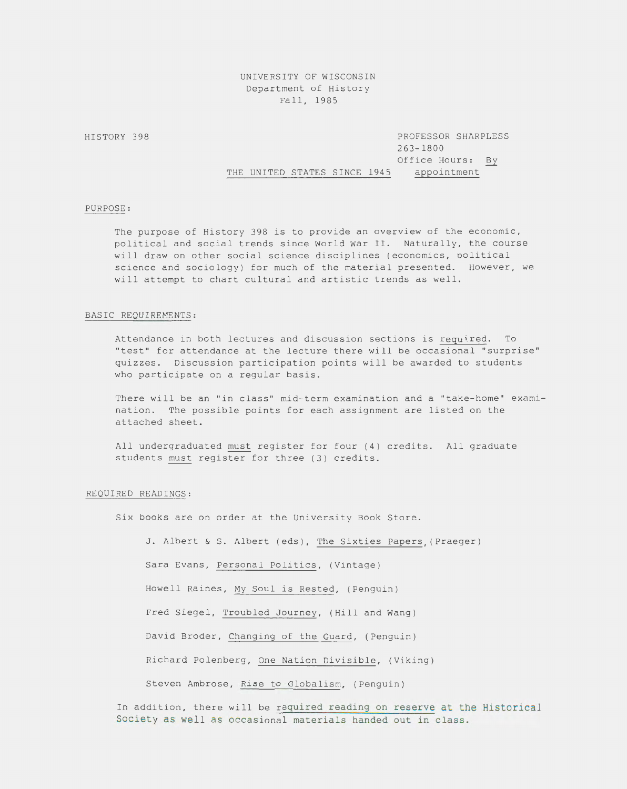# UNIVERSITY OF WISCONSIN Department of History Fall, 1985

HISTORY 398 PROFESSOR SHARPLESS 263-1800 THE UNITED STATES SINCE 1945 Office Hours: By appointment

# PURPOSE:

The purpose of History 398 is to provide an overview of the economic, political and social trends since World War II. Naturally, the course will draw on other social science disciplines (economics, oolitical science and sociology) for much of the material presented. However, we will attempt to chart cultural and artistic trends as well.

### BASIC REQUIREMENTS:

Attendance in both lectures and discussion sections is required. To "test" for attendance at the lecture there will be occasional "surprise" quizzes. Discussion participation points will be awarded to students who participate on a regular basis.

There will be an "in class" mid-term examination and a "take-home" examination. The possible points for each assignment are listed on the attached sheet.

All undergraduated must register for four (4) credits. All graduate students must register for three (3) credits.

#### REQUIRED READINGS:

Six books are on order at the University Book Store.

J. Albert & S. Albert (eds), The Sixties Papers, (Praeger)

Sara Evans, Personal Politics, (Vintage)

Howell Raines, My Soul is Rested, (Penguin)

Fred Siegel, Troubled Journey, (Hill and Wang)

David Broder, Changing of the Guard, (Penguin)

Richard Polenberg, One Nation Divisible, (Viking)

Steven Ambrose, Rise to Globalism, (Penguin)

In addition, there will be required reading on reserve at the Historical Society as well as occasional materials handed out in class.